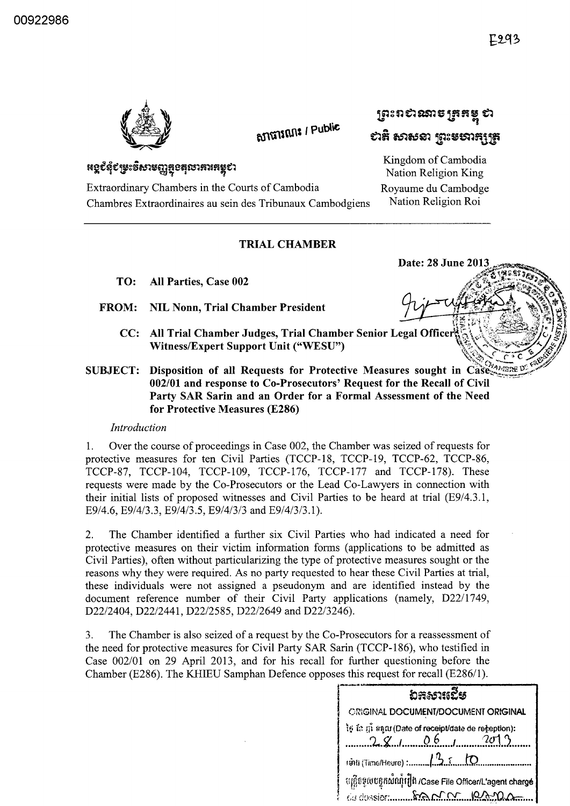

**BJITHE / Public** 

# $~\mathfrak{g}$ ោះពសានាចេក្រុងធ្យូ ស  $~$ ะวสิ ธภชะอา $~$ ฐา $~\,$ ะยรภส $~\,$ ฐร

Extraordinary Chambers in the Courts of Cambodia Royaume du Cambodge Chambres Extraordinaires au sein des Tribunaux Cambodgiens Nation Religion Roi

## TRIAL CHAMBER

- TO: All Parties, Case 002
- FROM: NIL N onn, Trial Chamber President '.t ;: :,~/"~ */;11';;1* ~~,~, \*~\ V ~ 't;'i ~; :"~~f;f;~Jh~ li
	- CC: All Trial Chamber Judges, Trial Chamber Senior Legal Officer  $\{a_i\}$ Witness/Expert Support Unit ("WESU")
- SUBJECT: Witness/Expert Support Cint (WESC)<br>Disposition of all Requests for Protective Measures sought in Case  $002/01$  and response to Co-Prosecutors' Request for the Recall of Civil Party SAR Sarin and an Order for a Formal Assessment of the Need for Protective Measures (E286)

#### *Introduction*

1. Over the course of proceedings in Case 002, the Chamber was seized of requests for protective measures for ten Civil Parties (TCCP-18, TCCP-19, TCCP-62, TCCP-86, TCCP-87, TCCP-104, TCCP-109, TCCP-176, TCCP-l77 and TCCP-178). These requests were made by the Co-Prosecutors or the Lead Co-Lawyers in connection with their initial lists of proposed witnesses and Civil Parties to be heard at trial (E9/4.3.1, E9/4.6, E9/4/3.3, E9/4/3.5, E9/4/3/3 and E9/4/3/3.1).

2. The Chamber identified a further six Civil Parties who had indicated a need for protective measures on their victim information forms (applications to be admitted as Civil Parties), often without particularizing the type of protective measures sought or the reasons why they were required. As no party requested to hear these Civil Parties at trial, these individuals were not assigned a pseudonym and are identified instead by the document reference number of their Civil Party applications (namely, D22/1749, D22/2404, D22/2441, D22/2585, D22/2649 and D22/3246).

3. The Chamber is also seized of a request by the Co-Prosecutors for a reassessment of the need for protective measures for Civil Party SAR Sarin (TCCP-186), who testified in Case 002/01 on 29 April 2013, and for his recall for further questioning before the Chamber (E286). The KHIEU Samphan Defence opposes this request for recall (E286/1).

| ັນ <del>ສ</del> ະນາແຂີ້ຮ                                                       |
|--------------------------------------------------------------------------------|
| <b>CRIGINAL DOCUMENT/DOCUMENT ORIGINAL</b>                                     |
| ថ្ងៃ ខែ ញុំ អនុល (Date of receipt/date de reneption):<br>$28/10000$ $06/10002$ |
|                                                                                |
| ្យវត្តិទទួលបន្ទុកសំណុំរឿង /Case File Officer/L'agent chargé                    |



~~~~~~::~~~6'J;j~S~tmm~fl~~~ Kingdom of Cambodia Nation Religion King

Date: 28 June 2013

 $\mathscr{P}^{(1)}_{\mathcal{P}}$  to the  $\mathscr{P}^{(2)}_{\mathcal{P}}$ 

.at:23.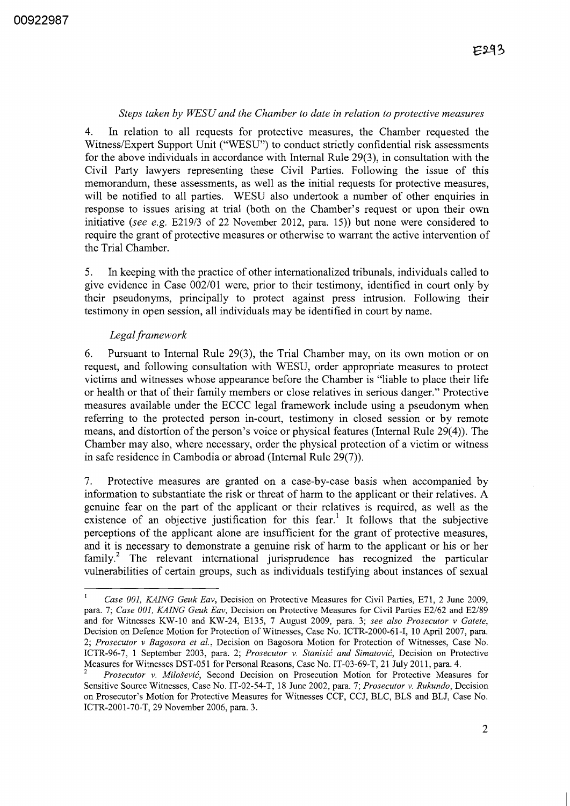#### *Steps taken by WESU and the Chamber to date in relation to protective measures*

4. In relation to all requests for protective measures, the Chamber requested the Witness/Expert Support Unit ("WESU") to conduct strictly confidential risk assessments for the above individuals in accordance with Internal Rule 29(3), in consultation with the Civil Party lawyers representing these Civil Parties. Following the issue of this memorandum, these assessments, as well as the initial requests for protective measures, will be notified to all parties. WESU also undertook a number of other enquiries in response to issues arising at trial (both on the Chamber's request or upon their own initiative *(see e.g.* E219/3 of 22 November 2012, para. 15)) but none were considered to require the grant of protective measures or otherwise to warrant the active intervention of the Trial Chamber.

5. In keeping with the practice of other internationalized tribunals, individuals called to give evidence in Case 002/01 were, prior to their testimony, identified in court only by their pseudonyms, principally to protect against press intrusion. Following their testimony in open session, all individuals may be identified in court by name.

#### *Legal framework*

6. Pursuant to Internal Rule 29(3), the Trial Chamber may, on its own motion or on request, and following consultation with WESU, order appropriate measures to protect victims and witnesses whose appearance before the Chamber is "liable to place their life or health or that of their family members or close relatives in serious danger." Protective measures available under the ECCC legal framework include using a pseudonym when referring to the protected person in-court, testimony in closed session or by remote means, and distortion of the person's voice or physical features (Internal Rule 29(4)). The Chamber may also, where necessary, order the physical protection of a victim or witness in safe residence in Cambodia or abroad (Internal Rule 29(7)).

7. Protective measures are granted on a case-by-case basis when accompanied by information to substantiate the risk or threat of harm to the applicant or their relatives. A genuine fear on the part of the applicant or their relatives is required, as well as the existence of an objective justification for this fear.<sup>1</sup> It follows that the subjective perceptions of the applicant alone are insufficient for the grant of protective measures, and it is necessary to demonstrate a genuine risk of harm to the applicant or his or her family.<sup>2</sup> The relevant international jurisprudence has recognized the particular vulnerabilities of certain groups, such as individuals testifying about instances of sexual

*Case 001, KAING Geuk Eav,* Decision on Protective Measures for Civil Parties, E71, 2 June 2009, para. 7; *Case 001, KAING Geuk Eav,* Decision on Protective Measures for Civil Parties E2/62 and E2/89 and for Witnesses KW-I0 and KW-24, E135, 7 August 2009, para. 3; *see also Prosecutor* v *Gatete,*  Decision on Defence Motion for Protection of Witnesses, Case No. ICTR-2000-61-I, 10 April 2007, para. *2; Prosecutor* v *Bagosora et at.,* Decision on Bagosora Motion for Protection of Witnesses, Case No. ICTR-96-7, 1 September 2003, para. 2; *Prosecutor* v. *Stanisic and Simatovic,* Decision on Protective Measures for Witnesses DST-051 for Personal Reasons, Case No. IT-03-69-T, 21 July 2011, para. 4.

<sup>2</sup>*Prosecutor* v. *Milosevic,* Second Decision on Prosecution Motion for Protective Measures for Sensitive Source Witnesses, Case No. IT-02-54-T, 18 June 2002, para. 7; *Prosecutor* v. *Rukundo,* Decision on Prosecutor's Motion for Protective Measures for Witnesses CCF, CCJ, BLC, BLS and BU, Case No. ICTR-2001-70-T, 29 November 2006, para. 3.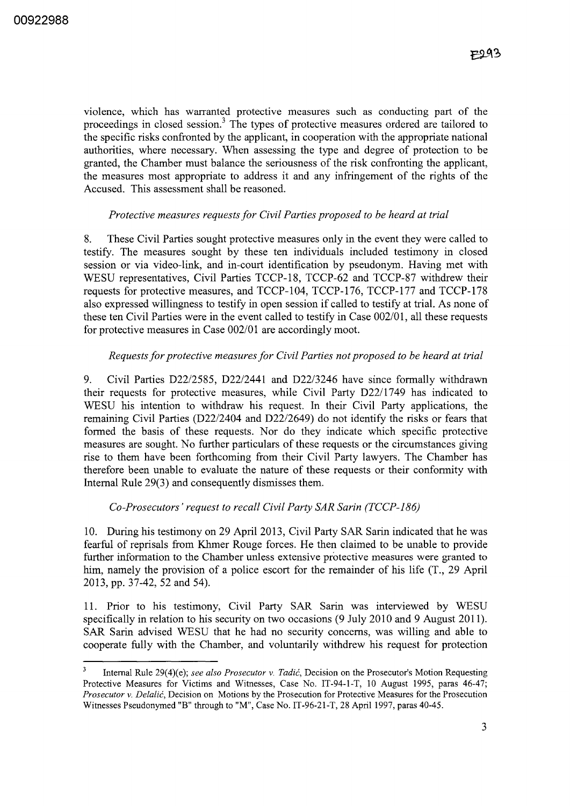violence, which has warranted protective measures such as conducting part of the proceedings in closed session.<sup>3</sup> The types of protective measures ordered are tailored to the specific risks confronted by the applicant, in cooperation with the appropriate national authorities, where necessary. When assessing the type and degree of protection to be granted, the Chamber must balance the seriousness of the risk confronting the applicant, the measures most appropriate to address it and any infringement of the rights of the Accused. This assessment shall be reasoned.

#### *Protective measures requests for Civil Parties proposed to be heard at trial*

8. These Civil Parties sought protective measures only in the event they were called to testify. The measures sought by these ten individuals included testimony in closed session or via video-link, and in-court identification by pseudonym. Having met with WESU representatives, Civil Parties TCCP-18, TCCP-62 and TCCP-87 withdrew their requests for protective measures, and TCCP-104, TCCP-176, TCCP-l77 and TCCP-178 also expressed willingness to testify in open session if called to testify at trial. As none of these ten Civil Parties were in the event called to testify in Case *002/01,* all these requests for protective measures in Case *002/01* are accordingly moot.

### *Requests for protective measures for Civil Parties not proposed to be heard at trial*

9. Civil Parties *D22/2585, D2212441* and *D22/3246* have since formally withdrawn their requests for protective measures, while Civil Party *D22/1749* has indicated to WESU his intention to withdraw his request. In their Civil Party applications, the remaining Civil Parties *(D22/2404* and *D2212649)* do not identify the risks or fears that formed the basis of these requests. Nor do they indicate which specific protective measures are sought. No further particulars of these requests or the circumstances giving rise to them have been forthcoming from their Civil Party lawyers. The Chamber has therefore been unable to evaluate the nature of these requests or their conformity with Internal Rule 29(3) and consequently dismisses them.

#### *Co-Prosecutors' request to recall Civil Party SAR Sarin (TCCP-186)*

10. During his testimony on 29 April 2013, Civil Party SAR Sarin indicated that he was fearful of reprisals from Khmer Rouge forces. He then claimed to be unable to provide further information to the Chamber unless extensive protective measures were granted to him, namely the provision of a police escort for the remainder of his life (T., 29 April 2013, pp. 37-42, 52 and 54).

11. Prior to his testimony, Civil Party SAR Sarin was interviewed by WESU specifically in relation to his security on two occasions (9 July 2010 and 9 August 2011). SAR Sarin advised WESU that he had no security concerns, was willing and able to cooperate fully with the Chamber, and voluntarily withdrew his request for protection

Internal Rule 29(4)(e); *see also Prosecutor v. Tadić*, Decision on the Prosecutor's Motion Requesting Protective Measures for Victims and Witnesses, Case No. IT-94-1-T, 10 August 1995, paras 46-47; *Prosecutor* v. *Delalii,* Decision on Motions by the Prosecution for Protective Measures for the Prosecution Witnesses Pseudonymed "B" through to "M", Case No. IT-96-21-T, 28 April 1997, paras 40-45.